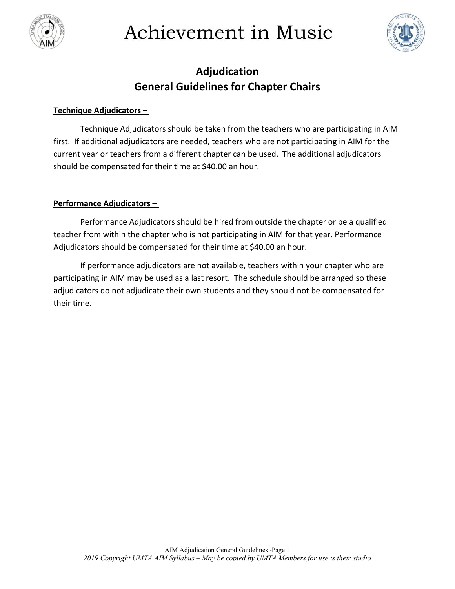

# Achievement in Music



## **Adjudication General Guidelines for Chapter Chairs**

#### **Technique Adjudicators –**

Technique Adjudicators should be taken from the teachers who are participating in AIM first. If additional adjudicators are needed, teachers who are not participating in AIM for the current year or teachers from a different chapter can be used. The additional adjudicators should be compensated for their time at \$40.00 an hour.

#### **Performance Adjudicators –**

Performance Adjudicators should be hired from outside the chapter or be a qualified teacher from within the chapter who is not participating in AIM for that year. Performance Adjudicators should be compensated for their time at \$40.00 an hour.

If performance adjudicators are not available, teachers within your chapter who are participating in AIM may be used as a last resort. The schedule should be arranged so these adjudicators do not adjudicate their own students and they should not be compensated for their time.